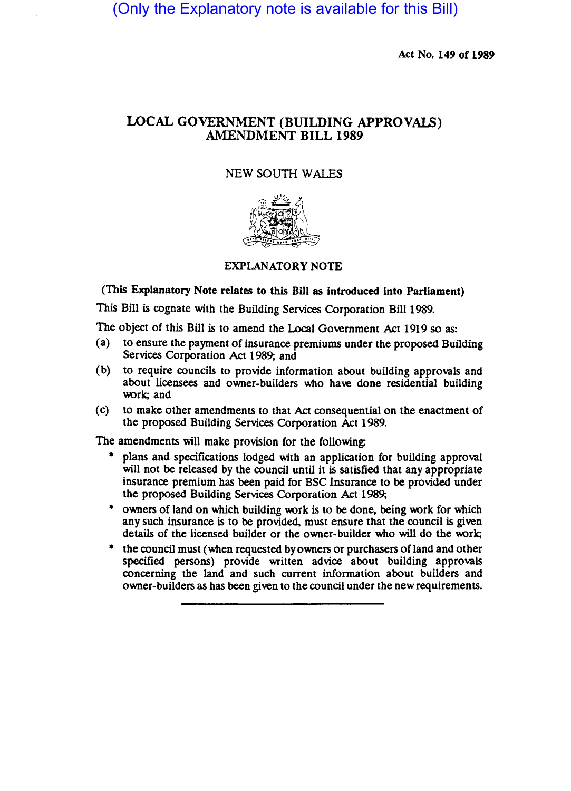(Only the Explanatory note is available for this Bill)

Act No. 149 of 1989

## LOCAL GOVERNMENT (BUILDING APPROVALS) AMENDMENT BILL 1989

## NEW SOUTH WALES



## EXPLANATORY NOTE

(This Explanatory Note relates to this Bill as introduced into Parliament)

This Bill is cognate with the Building Services Corporation Bill 1989.

The object of this Bill is to amend the Local Government Act 1919 so as:

- (a) to ensure the payment of insurance premiums under the proposed Building Services Corporation Act 1989; and
- (b) to require councils to provide information about building approvals and about licensees and owner-builders who have done residential building work; and
- (c) to make other amendments to that Act consequential on the enactment of the proposed Building Services Corporation Act 1989.

The amendments will make provision for the following:

- plans and specifications lodged with an application for building approval will not be released by the council until it is satisfied that any appropriate insurance premium has been paid for BSC Insurance to be provided under the proposed Building Services Corporation Act 1989;
- owners of land on which building work is to be done. being work for which any such insurance is to be provided. must ensure that the council is given details of the licensed builder or the owner-builder who will do the work;
- the council must (when requested by owners or purchasers of land and other specified persons) provide written advice about building approvals concerning the land and such current information about builders and owner-builders as has been given to the council under the new requirements.